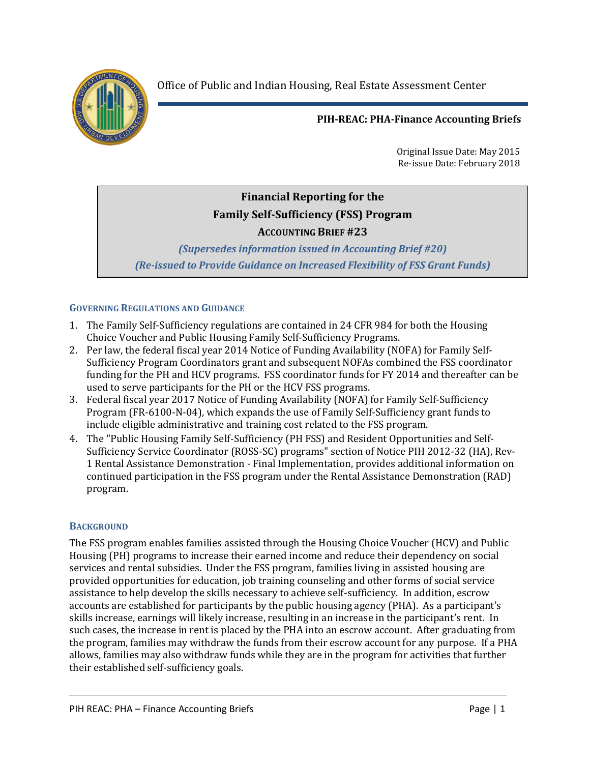Office of Public and Indian Housing, Real Estate Assessment Center



# **PIH-REAC: PHA-Finance Accounting Briefs**

Original Issue Date: May 2015 Re-issue Date: February 2018

# **Financial Reporting for the Family Self-Sufficiency (FSS) Program ACCOUNTING BRIEF #23**

# *(Supersedes information issued in Accounting Brief #20) (Re-issued to Provide Guidance on Increased Flexibility of FSS Grant Funds)*

# **GOVERNING REGULATIONS AND GUIDANCE**

- 1. The Family Self-Sufficiency regulations are contained in 24 CFR 984 for both the Housing Choice Voucher and Public Housing Family Self-Sufficiency Programs.
- 2. Per law, the federal fiscal year 2014 Notice of Funding Availability (NOFA) for Family Self-Sufficiency Program Coordinators grant and subsequent NOFAs combined the FSS coordinator funding for the PH and HCV programs. FSS coordinator funds for FY 2014 and thereafter can be used to serve participants for the PH or the HCV FSS programs.
- 3. Federal fiscal year 2017 Notice of Funding Availability (NOFA) for Family Self-Sufficiency Program (FR-6100-N-04), which expands the use of Family Self-Sufficiency grant funds to include eligible administrative and training cost related to the FSS program.
- 4. The "Public Housing Family Self-Sufficiency (PH FSS) and Resident Opportunities and Self-Sufficiency Service Coordinator (ROSS-SC) programs" section of Notice PIH 2012-32 (HA), Rev-1 Rental Assistance Demonstration - Final Implementation, provides additional information on continued participation in the FSS program under the Rental Assistance Demonstration (RAD) program.

## **BACKGROUND**

The FSS program enables families assisted through the Housing Choice Voucher (HCV) and Public Housing (PH) programs to increase their earned income and reduce their dependency on social services and rental subsidies. Under the FSS program, families living in assisted housing are provided opportunities for education, job training counseling and other forms of social service assistance to help develop the skills necessary to achieve self-sufficiency. In addition, escrow accounts are established for participants by the public housing agency (PHA). As a participant's skills increase, earnings will likely increase, resulting in an increase in the participant's rent. In such cases, the increase in rent is placed by the PHA into an escrow account. After graduating from the program, families may withdraw the funds from their escrow account for any purpose. If a PHA allows, families may also withdraw funds while they are in the program for activities that further their established self-sufficiency goals.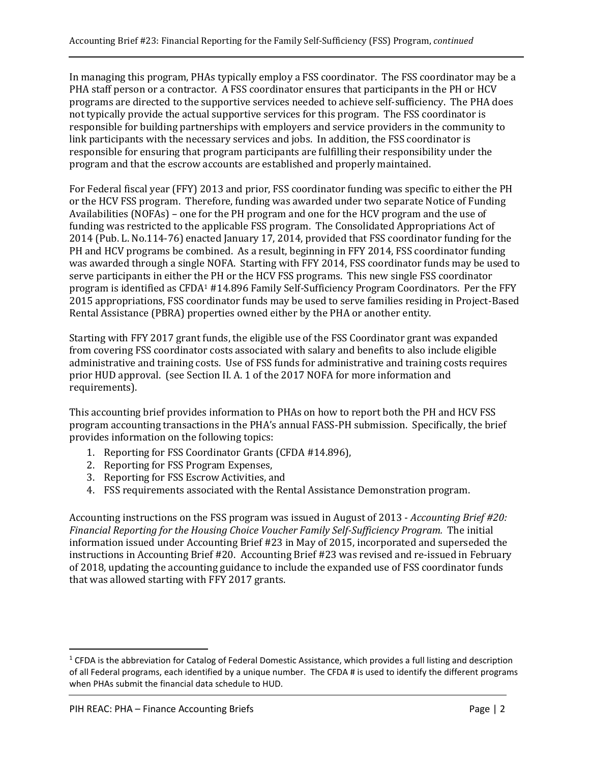In managing this program, PHAs typically employ a FSS coordinator. The FSS coordinator may be a PHA staff person or a contractor. A FSS coordinator ensures that participants in the PH or HCV programs are directed to the supportive services needed to achieve self-sufficiency. The PHA does not typically provide the actual supportive services for this program. The FSS coordinator is responsible for building partnerships with employers and service providers in the community to link participants with the necessary services and jobs. In addition, the FSS coordinator is responsible for ensuring that program participants are fulfilling their responsibility under the program and that the escrow accounts are established and properly maintained.

For Federal fiscal year (FFY) 2013 and prior, FSS coordinator funding was specific to either the PH or the HCV FSS program. Therefore, funding was awarded under two separate Notice of Funding Availabilities (NOFAs) – one for the PH program and one for the HCV program and the use of funding was restricted to the applicable FSS program. The Consolidated Appropriations Act of 2014 (Pub. L. No.114-76) enacted January 17, 2014, provided that FSS coordinator funding for the PH and HCV programs be combined. As a result, beginning in FFY 2014, FSS coordinator funding was awarded through a single NOFA. Starting with FFY 2014, FSS coordinator funds may be used to serve participants in either the PH or the HCV FSS programs. This new single FSS coordinator program is identified as CFDA<sup>1</sup> #14.896 Family Self-Sufficiency Program Coordinators. Per the FFY 2015 appropriations, FSS coordinator funds may be used to serve families residing in Project-Based Rental Assistance (PBRA) properties owned either by the PHA or another entity.

Starting with FFY 2017 grant funds, the eligible use of the FSS Coordinator grant was expanded from covering FSS coordinator costs associated with salary and benefits to also include eligible administrative and training costs. Use of FSS funds for administrative and training costs requires prior HUD approval. (see Section II. A. 1 of the 2017 NOFA for more information and requirements).

This accounting brief provides information to PHAs on how to report both the PH and HCV FSS program accounting transactions in the PHA's annual FASS-PH submission. Specifically, the brief provides information on the following topics:

- 1. Reporting for FSS Coordinator Grants (CFDA #14.896),
- 2. Reporting for FSS Program Expenses,
- 3. Reporting for FSS Escrow Activities, and
- 4. FSS requirements associated with the Rental Assistance Demonstration program.

Accounting instructions on the FSS program was issued in August of 2013 - *Accounting Brief #20: Financial Reporting for the Housing Choice Voucher Family Self-Sufficiency Program.* The initial information issued under Accounting Brief #23 in May of 2015, incorporated and superseded the instructions in Accounting Brief #20. Accounting Brief #23 was revised and re-issued in February of 2018, updating the accounting guidance to include the expanded use of FSS coordinator funds that was allowed starting with FFY 2017 grants.

 $\overline{\phantom{a}}$ 

 $1$  CFDA is the abbreviation for Catalog of Federal Domestic Assistance, which provides a full listing and description of all Federal programs, each identified by a unique number. The CFDA # is used to identify the different programs when PHAs submit the financial data schedule to HUD.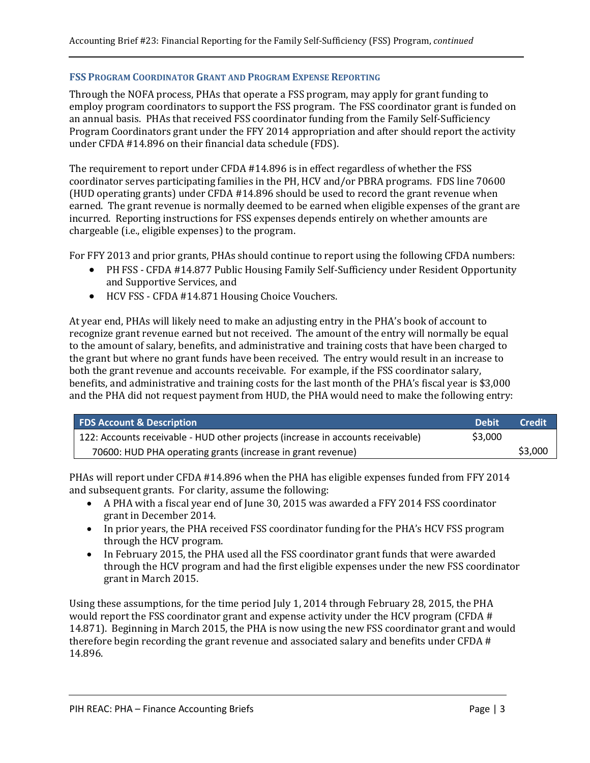#### **FSS PROGRAM COORDINATOR GRANT AND PROGRAM EXPENSE REPORTING**

Through the NOFA process, PHAs that operate a FSS program, may apply for grant funding to employ program coordinators to support the FSS program. The FSS coordinator grant is funded on an annual basis. PHAs that received FSS coordinator funding from the Family Self-Sufficiency Program Coordinators grant under the FFY 2014 appropriation and after should report the activity under CFDA #14.896 on their financial data schedule (FDS).

The requirement to report under CFDA #14.896 is in effect regardless of whether the FSS coordinator serves participating families in the PH, HCV and/or PBRA programs. FDS line 70600 (HUD operating grants) under CFDA #14.896 should be used to record the grant revenue when earned. The grant revenue is normally deemed to be earned when eligible expenses of the grant are incurred. Reporting instructions for FSS expenses depends entirely on whether amounts are chargeable (i.e., eligible expenses) to the program.

For FFY 2013 and prior grants, PHAs should continue to report using the following CFDA numbers:

- PH FSS CFDA #14.877 Public Housing Family Self-Sufficiency under Resident Opportunity and Supportive Services, and
- HCV FSS CFDA #14.871 Housing Choice Vouchers.

At year end, PHAs will likely need to make an adjusting entry in the PHA's book of account to recognize grant revenue earned but not received. The amount of the entry will normally be equal to the amount of salary, benefits, and administrative and training costs that have been charged to the grant but where no grant funds have been received. The entry would result in an increase to both the grant revenue and accounts receivable. For example, if the FSS coordinator salary, benefits, and administrative and training costs for the last month of the PHA's fiscal year is \$3,000 and the PHA did not request payment from HUD, the PHA would need to make the following entry:

| <b>FDS Account &amp; Description</b>                                            | ' Debit. | Credit  |
|---------------------------------------------------------------------------------|----------|---------|
| 122: Accounts receivable - HUD other projects (increase in accounts receivable) | \$3,000  |         |
| 70600: HUD PHA operating grants (increase in grant revenue)                     |          | \$3,000 |

PHAs will report under CFDA #14.896 when the PHA has eligible expenses funded from FFY 2014 and subsequent grants. For clarity, assume the following:

- A PHA with a fiscal year end of June 30, 2015 was awarded a FFY 2014 FSS coordinator grant in December 2014.
- In prior years, the PHA received FSS coordinator funding for the PHA's HCV FSS program through the HCV program.
- In February 2015, the PHA used all the FSS coordinator grant funds that were awarded through the HCV program and had the first eligible expenses under the new FSS coordinator grant in March 2015.

Using these assumptions, for the time period July 1, 2014 through February 28, 2015, the PHA would report the FSS coordinator grant and expense activity under the HCV program (CFDA # 14.871). Beginning in March 2015, the PHA is now using the new FSS coordinator grant and would therefore begin recording the grant revenue and associated salary and benefits under CFDA # 14.896.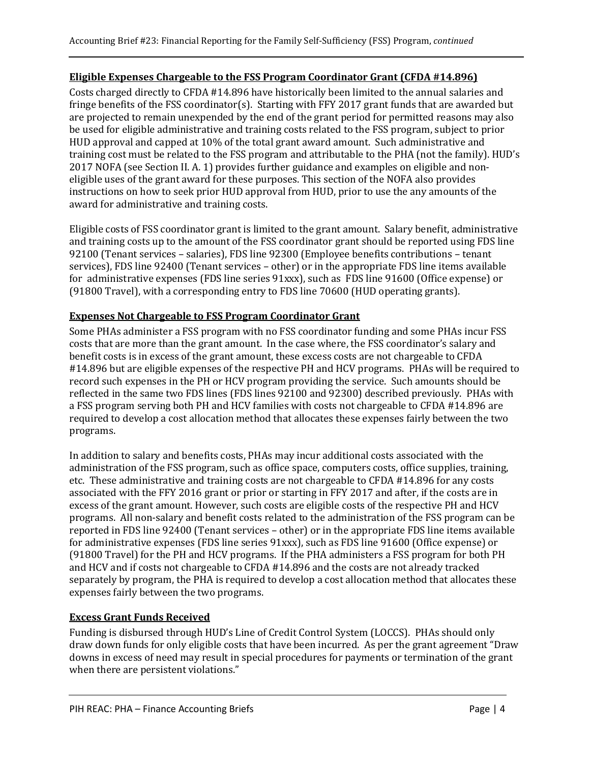# **Eligible Expenses Chargeable to the FSS Program Coordinator Grant (CFDA #14.896)**

Costs charged directly to CFDA #14.896 have historically been limited to the annual salaries and fringe benefits of the FSS coordinator(s). Starting with FFY 2017 grant funds that are awarded but are projected to remain unexpended by the end of the grant period for permitted reasons may also be used for eligible administrative and training costs related to the FSS program, subject to prior HUD approval and capped at 10% of the total grant award amount. Such administrative and training cost must be related to the FSS program and attributable to the PHA (not the family). HUD's 2017 NOFA (see Section II. A. 1) provides further guidance and examples on eligible and noneligible uses of the grant award for these purposes. This section of the NOFA also provides instructions on how to seek prior HUD approval from HUD, prior to use the any amounts of the award for administrative and training costs.

Eligible costs of FSS coordinator grant is limited to the grant amount. Salary benefit, administrative and training costs up to the amount of the FSS coordinator grant should be reported using FDS line 92100 (Tenant services – salaries), FDS line 92300 (Employee benefits contributions – tenant services), FDS line 92400 (Tenant services – other) or in the appropriate FDS line items available for administrative expenses (FDS line series 91xxx), such as FDS line 91600 (Office expense) or (91800 Travel), with a corresponding entry to FDS line 70600 (HUD operating grants).

# **Expenses Not Chargeable to FSS Program Coordinator Grant**

Some PHAs administer a FSS program with no FSS coordinator funding and some PHAs incur FSS costs that are more than the grant amount. In the case where, the FSS coordinator's salary and benefit costs is in excess of the grant amount, these excess costs are not chargeable to CFDA #14.896 but are eligible expenses of the respective PH and HCV programs. PHAs will be required to record such expenses in the PH or HCV program providing the service. Such amounts should be reflected in the same two FDS lines (FDS lines 92100 and 92300) described previously. PHAs with a FSS program serving both PH and HCV families with costs not chargeable to CFDA #14.896 are required to develop a cost allocation method that allocates these expenses fairly between the two programs.

In addition to salary and benefits costs, PHAs may incur additional costs associated with the administration of the FSS program, such as office space, computers costs, office supplies, training, etc. These administrative and training costs are not chargeable to CFDA #14.896 for any costs associated with the FFY 2016 grant or prior or starting in FFY 2017 and after, if the costs are in excess of the grant amount. However, such costs are eligible costs of the respective PH and HCV programs. All non-salary and benefit costs related to the administration of the FSS program can be reported in FDS line 92400 (Tenant services – other) or in the appropriate FDS line items available for administrative expenses (FDS line series 91xxx), such as FDS line 91600 (Office expense) or (91800 Travel) for the PH and HCV programs. If the PHA administers a FSS program for both PH and HCV and if costs not chargeable to CFDA #14.896 and the costs are not already tracked separately by program, the PHA is required to develop a cost allocation method that allocates these expenses fairly between the two programs.

# **Excess Grant Funds Received**

Funding is disbursed through HUD's Line of Credit Control System (LOCCS). PHAs should only draw down funds for only eligible costs that have been incurred. As per the grant agreement "Draw downs in excess of need may result in special procedures for payments or termination of the grant when there are persistent violations."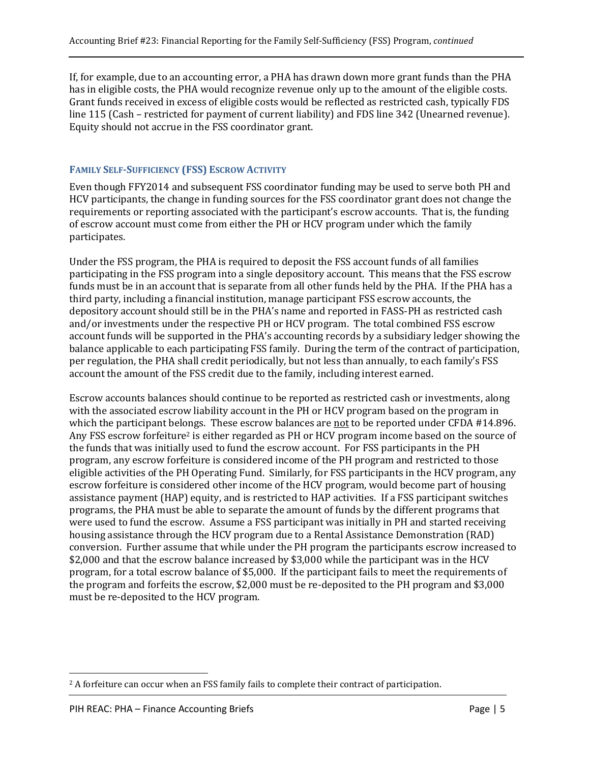If, for example, due to an accounting error, a PHA has drawn down more grant funds than the PHA has in eligible costs, the PHA would recognize revenue only up to the amount of the eligible costs. Grant funds received in excess of eligible costs would be reflected as restricted cash, typically FDS line 115 (Cash – restricted for payment of current liability) and FDS line 342 (Unearned revenue). Equity should not accrue in the FSS coordinator grant.

# **FAMILY SELF-SUFFICIENCY (FSS) ESCROW ACTIVITY**

Even though FFY2014 and subsequent FSS coordinator funding may be used to serve both PH and HCV participants, the change in funding sources for the FSS coordinator grant does not change the requirements or reporting associated with the participant's escrow accounts. That is, the funding of escrow account must come from either the PH or HCV program under which the family participates.

Under the FSS program, the PHA is required to deposit the FSS account funds of all families participating in the FSS program into a single depository account. This means that the FSS escrow funds must be in an account that is separate from all other funds held by the PHA. If the PHA has a third party, including a financial institution, manage participant FSS escrow accounts, the depository account should still be in the PHA's name and reported in FASS-PH as restricted cash and/or investments under the respective PH or HCV program. The total combined FSS escrow account funds will be supported in the PHA's accounting records by a subsidiary ledger showing the balance applicable to each participating FSS family. During the term of the contract of participation, per regulation, the PHA shall credit periodically, but not less than annually, to each family's FSS account the amount of the FSS credit due to the family, including interest earned.

Escrow accounts balances should continue to be reported as restricted cash or investments, along with the associated escrow liability account in the PH or HCV program based on the program in which the participant belongs. These escrow balances are not to be reported under CFDA #14.896. Any FSS escrow forfeiture<sup>2</sup> is either regarded as PH or HCV program income based on the source of the funds that was initially used to fund the escrow account. For FSS participants in the PH program, any escrow forfeiture is considered income of the PH program and restricted to those eligible activities of the PH Operating Fund. Similarly, for FSS participants in the HCV program, any escrow forfeiture is considered other income of the HCV program, would become part of housing assistance payment (HAP) equity, and is restricted to HAP activities. If a FSS participant switches programs, the PHA must be able to separate the amount of funds by the different programs that were used to fund the escrow. Assume a FSS participant was initially in PH and started receiving housing assistance through the HCV program due to a Rental Assistance Demonstration (RAD) conversion. Further assume that while under the PH program the participants escrow increased to \$2,000 and that the escrow balance increased by \$3,000 while the participant was in the HCV program, for a total escrow balance of \$5,000. If the participant fails to meet the requirements of the program and forfeits the escrow, \$2,000 must be re-deposited to the PH program and \$3,000 must be re-deposited to the HCV program.

 $\overline{a}$ <sup>2</sup> A forfeiture can occur when an FSS family fails to complete their contract of participation.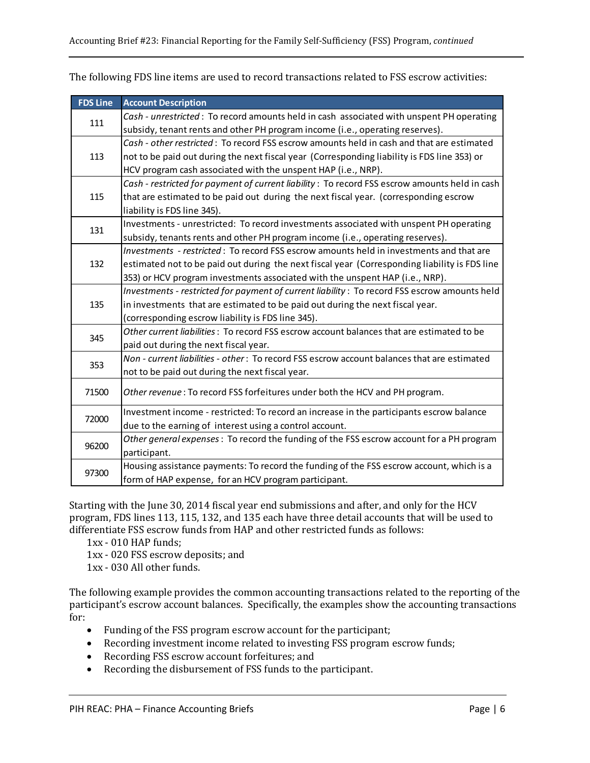| <b>FDS Line</b> | <b>Account Description</b>                                                                     |
|-----------------|------------------------------------------------------------------------------------------------|
| 111             | Cash - unrestricted: To record amounts held in cash associated with unspent PH operating       |
|                 | subsidy, tenant rents and other PH program income (i.e., operating reserves).                  |
|                 | Cash - other restricted: To record FSS escrow amounts held in cash and that are estimated      |
| 113             | not to be paid out during the next fiscal year (Corresponding liability is FDS line 353) or    |
|                 | HCV program cash associated with the unspent HAP (i.e., NRP).                                  |
|                 | Cash - restricted for payment of current liability : To record FSS escrow amounts held in cash |
| 115             | that are estimated to be paid out during the next fiscal year. (corresponding escrow           |
|                 | liability is FDS line 345).                                                                    |
| 131             | Investments - unrestricted: To record investments associated with unspent PH operating         |
|                 | subsidy, tenants rents and other PH program income (i.e., operating reserves).                 |
|                 | Investments - restricted: To record FSS escrow amounts held in investments and that are        |
| 132             | estimated not to be paid out during the next fiscal year (Corresponding liability is FDS line  |
|                 | 353) or HCV program investments associated with the unspent HAP (i.e., NRP).                   |
|                 | Investments - restricted for payment of current liability : To record FSS escrow amounts held  |
| 135             | in investments that are estimated to be paid out during the next fiscal year.                  |
|                 | (corresponding escrow liability is FDS line 345).                                              |
| 345             | Other current liabilities: To record FSS escrow account balances that are estimated to be      |
|                 | paid out during the next fiscal year.                                                          |
| 353             | Non - current liabilities - other: To record FSS escrow account balances that are estimated    |
|                 | not to be paid out during the next fiscal year.                                                |
| 71500           | Other revenue: To record FSS forfeitures under both the HCV and PH program.                    |
|                 |                                                                                                |
| 72000           | Investment income - restricted: To record an increase in the participants escrow balance       |
|                 | due to the earning of interest using a control account.                                        |
| 96200           | Other general expenses: To record the funding of the FSS escrow account for a PH program       |
|                 | participant.                                                                                   |
| 97300           | Housing assistance payments: To record the funding of the FSS escrow account, which is a       |
|                 | form of HAP expense, for an HCV program participant.                                           |

The following FDS line items are used to record transactions related to FSS escrow activities:

Starting with the June 30, 2014 fiscal year end submissions and after, and only for the HCV program, FDS lines 113, 115, 132, and 135 each have three detail accounts that will be used to differentiate FSS escrow funds from HAP and other restricted funds as follows:

1xx - 010 HAP funds;

1xx - 020 FSS escrow deposits; and

1xx - 030 All other funds.

The following example provides the common accounting transactions related to the reporting of the participant's escrow account balances. Specifically, the examples show the accounting transactions for:

- Funding of the FSS program escrow account for the participant;
- Recording investment income related to investing FSS program escrow funds;
- Recording FSS escrow account forfeitures; and
- Recording the disbursement of FSS funds to the participant.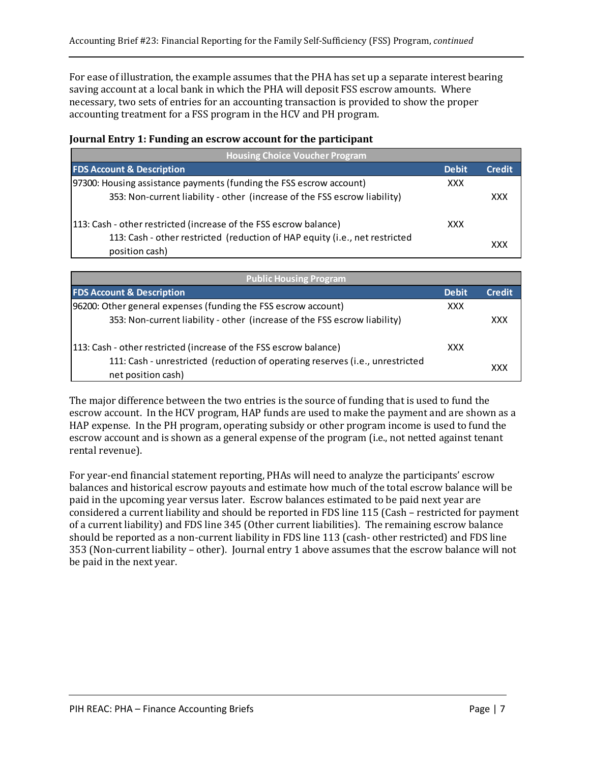For ease of illustration, the example assumes that the PHA has set up a separate interest bearing saving account at a local bank in which the PHA will deposit FSS escrow amounts. Where necessary, two sets of entries for an accounting transaction is provided to show the proper accounting treatment for a FSS program in the HCV and PH program.

## **Journal Entry 1: Funding an escrow account for the participant**

| <b>Housing Choice Voucher Program</b>                                                         |              |               |
|-----------------------------------------------------------------------------------------------|--------------|---------------|
| <b>FDS Account &amp; Description</b>                                                          | <b>Debit</b> | <b>Credit</b> |
| [97300: Housing assistance payments (funding the FSS escrow account)                          | <b>XXX</b>   |               |
| 353: Non-current liability - other (increase of the FSS escrow liability)                     |              | XXX           |
| [113: Cash - other restricted (increase of the FSS escrow balance)                            | <b>XXX</b>   |               |
| 113: Cash - other restricted (reduction of HAP equity (i.e., net restricted<br>position cash) |              | XXX           |

| <b>Public Housing Program</b>                                                                       |              |               |
|-----------------------------------------------------------------------------------------------------|--------------|---------------|
| <b>FDS Account &amp; Description</b>                                                                | <b>Debit</b> | <b>Credit</b> |
| 96200: Other general expenses (funding the FSS escrow account)                                      | <b>XXX</b>   |               |
| 353: Non-current liability - other (increase of the FSS escrow liability)                           |              | <b>XXX</b>    |
| 113: Cash - other restricted (increase of the FSS escrow balance)                                   | <b>XXX</b>   |               |
| 111: Cash - unrestricted (reduction of operating reserves (i.e., unrestricted<br>net position cash) |              | XXX           |

The major difference between the two entries is the source of funding that is used to fund the escrow account. In the HCV program, HAP funds are used to make the payment and are shown as a HAP expense. In the PH program, operating subsidy or other program income is used to fund the escrow account and is shown as a general expense of the program (i.e., not netted against tenant rental revenue).

For year-end financial statement reporting, PHAs will need to analyze the participants' escrow balances and historical escrow payouts and estimate how much of the total escrow balance will be paid in the upcoming year versus later. Escrow balances estimated to be paid next year are considered a current liability and should be reported in FDS line 115 (Cash – restricted for payment of a current liability) and FDS line 345 (Other current liabilities). The remaining escrow balance should be reported as a non-current liability in FDS line 113 (cash- other restricted) and FDS line 353 (Non-current liability – other). Journal entry 1 above assumes that the escrow balance will not be paid in the next year.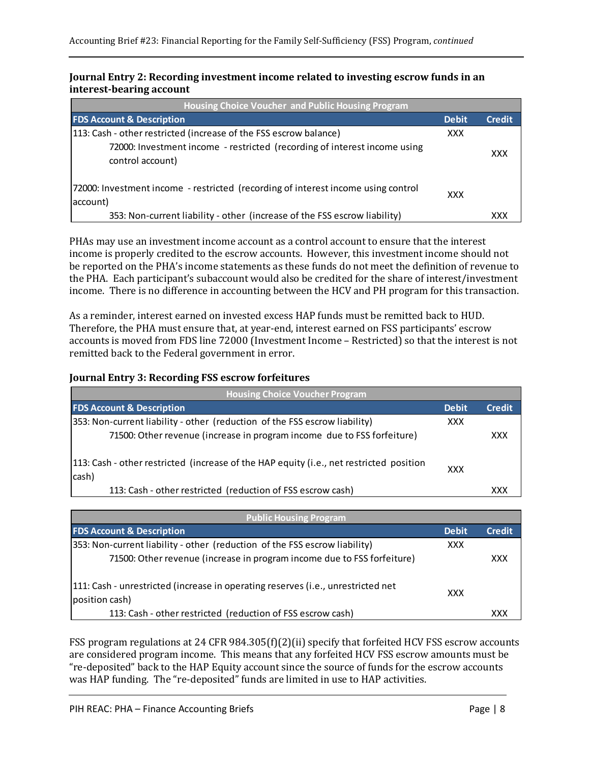#### **Journal Entry 2: Recording investment income related to investing escrow funds in an interest-bearing account**

| <b>Housing Choice Voucher and Public Housing Program</b>                                      |              |               |
|-----------------------------------------------------------------------------------------------|--------------|---------------|
| <b>FDS Account &amp; Description</b>                                                          | <b>Debit</b> | <b>Credit</b> |
| 113: Cash - other restricted (increase of the FSS escrow balance)                             | XXX          |               |
| 72000: Investment income - restricted (recording of interest income using<br>control account) |              | <b>XXX</b>    |
| 72000: Investment income - restricted (recording of interest income using control<br>account) | XXX          |               |
| 353: Non-current liability - other (increase of the FSS escrow liability)                     |              | XXX           |

PHAs may use an investment income account as a control account to ensure that the interest income is properly credited to the escrow accounts. However, this investment income should not be reported on the PHA's income statements as these funds do not meet the definition of revenue to the PHA. Each participant's subaccount would also be credited for the share of interest/investment income. There is no difference in accounting between the HCV and PH program for this transaction.

As a reminder, interest earned on invested excess HAP funds must be remitted back to HUD. Therefore, the PHA must ensure that, at year-end, interest earned on FSS participants' escrow accounts is moved from FDS line 72000 (Investment Income – Restricted) so that the interest is not remitted back to the Federal government in error.

#### **Journal Entry 3: Recording FSS escrow forfeitures**

| <b>Housing Choice Voucher Program</b>                                                            |              |               |
|--------------------------------------------------------------------------------------------------|--------------|---------------|
| <b>FDS Account &amp; Description</b>                                                             | <b>Debit</b> | <b>Credit</b> |
| 353: Non-current liability - other (reduction of the FSS escrow liability)                       | <b>XXX</b>   |               |
| 71500: Other revenue (increase in program income due to FSS forfeiture)                          |              | <b>XXX</b>    |
| 113: Cash - other restricted (increase of the HAP equity (i.e., net restricted position<br>cash) | <b>XXX</b>   |               |
| 113: Cash - other restricted (reduction of FSS escrow cash)                                      |              | XXX           |

| <b>Public Housing Program</b>                                                                      |              |               |
|----------------------------------------------------------------------------------------------------|--------------|---------------|
| <b>FDS Account &amp; Description</b>                                                               | <b>Debit</b> | <b>Credit</b> |
| 353: Non-current liability - other (reduction of the FSS escrow liability)                         | <b>XXX</b>   |               |
| 71500: Other revenue (increase in program income due to FSS forfeiture)                            |              | <b>XXX</b>    |
| 111: Cash - unrestricted (increase in operating reserves (i.e., unrestricted net<br>position cash) | <b>XXX</b>   |               |
| 113: Cash - other restricted (reduction of FSS escrow cash)                                        |              | XXX           |

FSS program regulations at 24 CFR 984.305(f)(2)(ii) specify that forfeited HCV FSS escrow accounts are considered program income. This means that any forfeited HCV FSS escrow amounts must be "re-deposited" back to the HAP Equity account since the source of funds for the escrow accounts was HAP funding. The "re-deposited" funds are limited in use to HAP activities.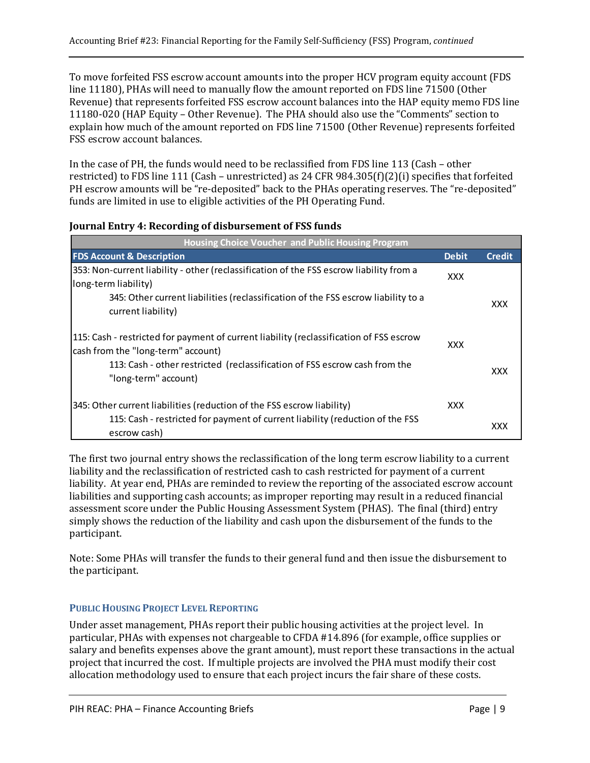To move forfeited FSS escrow account amounts into the proper HCV program equity account (FDS line 11180), PHAs will need to manually flow the amount reported on FDS line 71500 (Other Revenue) that represents forfeited FSS escrow account balances into the HAP equity memo FDS line 11180-020 (HAP Equity – Other Revenue). The PHA should also use the "Comments" section to explain how much of the amount reported on FDS line 71500 (Other Revenue) represents forfeited FSS escrow account balances.

In the case of PH, the funds would need to be reclassified from FDS line 113 (Cash – other restricted) to FDS line 111 (Cash – unrestricted) as 24 CFR 984.305(f)(2)(i) specifies that forfeited PH escrow amounts will be "re-deposited" back to the PHAs operating reserves. The "re-deposited" funds are limited in use to eligible activities of the PH Operating Fund.

| <b>Housing Choice Voucher and Public Housing Program</b>                                                                      |              |            |
|-------------------------------------------------------------------------------------------------------------------------------|--------------|------------|
| <b>FDS Account &amp; Description</b>                                                                                          | <b>Debit</b> | Credi      |
| 353: Non-current liability - other (reclassification of the FSS escrow liability from a<br>long-term liability)               | <b>XXX</b>   |            |
| 345: Other current liabilities (reclassification of the FSS escrow liability to a<br>current liability)                       |              | <b>XXX</b> |
| 115: Cash - restricted for payment of current liability (reclassification of FSS escrow<br>cash from the "long-term" account) | XXX          |            |
| 113: Cash - other restricted (reclassification of FSS escrow cash from the<br>"long-term" account)                            |              | XXX        |
| 345: Other current liabilities (reduction of the FSS escrow liability)                                                        | <b>XXX</b>   |            |
| 115: Cash - restricted for payment of current liability (reduction of the FSS<br>escrow cash)                                 |              | XXX        |

#### **Journal Entry 4: Recording of disbursement of FSS funds**

The first two journal entry shows the reclassification of the long term escrow liability to a current liability and the reclassification of restricted cash to cash restricted for payment of a current liability. At year end, PHAs are reminded to review the reporting of the associated escrow account liabilities and supporting cash accounts; as improper reporting may result in a reduced financial assessment score under the Public Housing Assessment System (PHAS). The final (third) entry simply shows the reduction of the liability and cash upon the disbursement of the funds to the participant.

Note: Some PHAs will transfer the funds to their general fund and then issue the disbursement to the participant.

## **PUBLIC HOUSING PROJECT LEVEL REPORTING**

Under asset management, PHAs report their public housing activities at the project level. In particular, PHAs with expenses not chargeable to CFDA #14.896 (for example, office supplies or salary and benefits expenses above the grant amount), must report these transactions in the actual project that incurred the cost. If multiple projects are involved the PHA must modify their cost allocation methodology used to ensure that each project incurs the fair share of these costs.

**Debit Credit**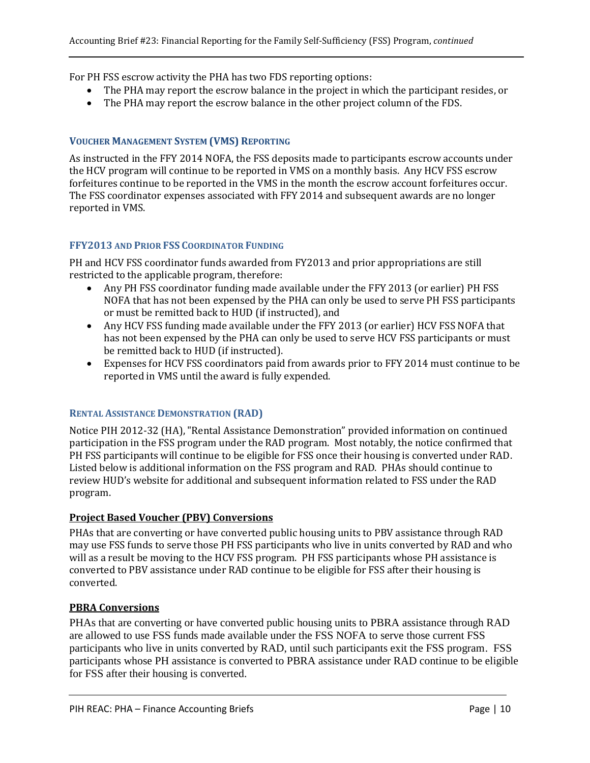For PH FSS escrow activity the PHA has two FDS reporting options:

- The PHA may report the escrow balance in the project in which the participant resides, or
- The PHA may report the escrow balance in the other project column of the FDS.

### **VOUCHER MANAGEMENT SYSTEM (VMS) REPORTING**

As instructed in the FFY 2014 NOFA, the FSS deposits made to participants escrow accounts under the HCV program will continue to be reported in VMS on a monthly basis. Any HCV FSS escrow forfeitures continue to be reported in the VMS in the month the escrow account forfeitures occur. The FSS coordinator expenses associated with FFY 2014 and subsequent awards are no longer reported in VMS.

### **FFY2013 AND PRIOR FSS COORDINATOR FUNDING**

PH and HCV FSS coordinator funds awarded from FY2013 and prior appropriations are still restricted to the applicable program, therefore:

- Any PH FSS coordinator funding made available under the FFY 2013 (or earlier) PH FSS NOFA that has not been expensed by the PHA can only be used to serve PH FSS participants or must be remitted back to HUD (if instructed), and
- Any HCV FSS funding made available under the FFY 2013 (or earlier) HCV FSS NOFA that has not been expensed by the PHA can only be used to serve HCV FSS participants or must be remitted back to HUD (if instructed).
- Expenses for HCV FSS coordinators paid from awards prior to FFY 2014 must continue to be reported in VMS until the award is fully expended.

#### **RENTAL ASSISTANCE DEMONSTRATION (RAD)**

Notice PIH 2012-32 (HA), "Rental Assistance Demonstration" provided information on continued participation in the FSS program under the RAD program. Most notably, the notice confirmed that PH FSS participants will continue to be eligible for FSS once their housing is converted under RAD. Listed below is additional information on the FSS program and RAD. PHAs should continue to review HUD's website for additional and subsequent information related to FSS under the RAD program.

## **Project Based Voucher (PBV) Conversions**

PHAs that are converting or have converted public housing units to PBV assistance through RAD may use FSS funds to serve those PH FSS participants who live in units converted by RAD and who will as a result be moving to the HCV FSS program. PH FSS participants whose PH assistance is converted to PBV assistance under RAD continue to be eligible for FSS after their housing is converted.

#### **PBRA Conversions**

PHAs that are converting or have converted public housing units to PBRA assistance through RAD are allowed to use FSS funds made available under the FSS NOFA to serve those current FSS participants who live in units converted by RAD, until such participants exit the FSS program. FSS participants whose PH assistance is converted to PBRA assistance under RAD continue to be eligible for FSS after their housing is converted.